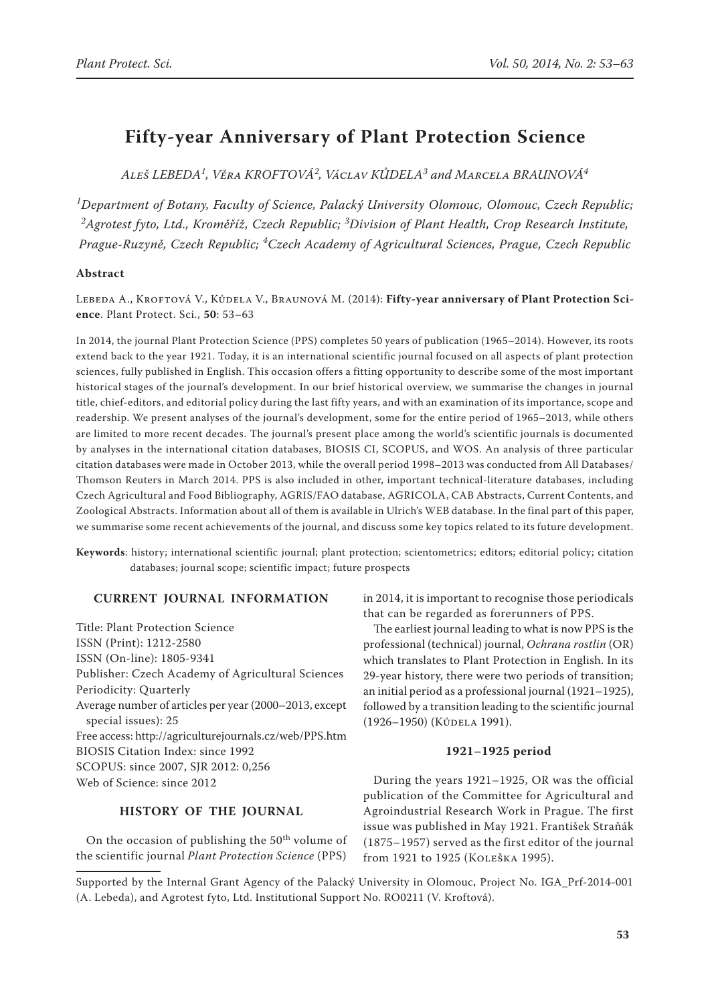# **Fifty-year Anniversary of Plant Protection Science**

*Aleš LEBEDA1 , Věra Kroftová<sup>2</sup> , Václav KŮDELA3 and Marcela BRAUNOVÁ4*

*1 Department of Botany, Faculty of Science, Palacký University Olomouc, Olomouc, Czech Republic; 2 Agrotest fyto, Ltd., Kroměříž, Czech Republic; <sup>3</sup> Division of Plant Health, Crop Research Institute, Prague-Ruzyně, Czech Republic; <sup>4</sup> Czech Academy of Agricultural Sciences, Prague, Czech Republic* 

# **Abstract**

Lebeda A., Kroftová V., Kůdela V., Braunová M. (2014): **Fifty-year anniversary of Plant Protection Science**. Plant Protect. Sci., **50**: 53–63

In 2014, the journal Plant Protection Science (PPS) completes 50 years of publication (1965–2014). However, its roots extend back to the year 1921. Today, it is an international scientific journal focused on all aspects of plant protection sciences, fully published in English. This occasion offers a fitting opportunity to describe some of the most important historical stages of the journal's development. In our brief historical overview, we summarise the changes in journal title, chief-editors, and editorial policy during the last fifty years, and with an examination of its importance, scope and readership. We present analyses of the journal's development, some for the entire period of 1965–2013, while others are limited to more recent decades. The journal's present place among the world's scientific journals is documented by analyses in the international citation databases, BIOSIS CI, SCOPUS, and WOS. An analysis of three particular citation databases were made in October 2013, while the overall period 1998–2013 was conducted from All Databases/ Thomson Reuters in March 2014. PPS is also included in other, important technical-literature databases, including Czech Agricultural and Food Bibliography, AGRIS/FAO database, AGRICOLA, CAB Abstracts, Current Contents, and Zoological Abstracts. Information about all of them is available in Ulrich's WEB database. In the final part of this paper, we summarise some recent achievements of the journal, and discuss some key topics related to its future development.

**Keywords**: history; international scientific journal; plant protection; scientometrics; editors; editorial policy; citation databases; journal scope; scientific impact; future prospects

# **CURRENT JOURNAL INFORMATION**

Title: Plant Protection Science ISSN (Print): 1212-2580 ISSN (On-line): 1805-9341 Publisher: Czech Academy of Agricultural Sciences Periodicity: Quarterly Average number of articles per year (2000–2013, except special issues): 25 Free access: http://agriculturejournals.cz/web/PPS.htm BIOSIS Citation Index: since 1992 SCOPUS: since 2007, SJR 2012: 0,256 Web of Science: since 2012

## **HISTORY OF THE JOURNAL**

On the occasion of publishing the 50<sup>th</sup> volume of the scientific journal *Plant Protection Science* (PPS)

in 2014, it is important to recognise those periodicals that can be regarded as forerunners of PPS.

The earliest journal leading to what is now PPS is the professional (technical) journal, *Ochrana rostlin* (OR) which translates to Plant Protection in English. In its 29-year history, there were two periods of transition; an initial period as a professional journal (1921–1925), followed by a transition leading to the scientific journal (1926–1950) (Kůdela 1991).

# **1921–1925 period**

During the years 1921–1925, OR was the official publication of the Committee for Agricultural and Agroindustrial Research Work in Prague. The first issue was published in May 1921. František Straňák (1875–1957) served as the first editor of the journal from 1921 to 1925 (Koleška 1995).

Supported by the Internal Grant Agency of the Palacký University in Olomouc, Project No. IGA\_Prf-2014-001 (A. Lebeda), and Agrotest fyto, Ltd. Institutional Support No. RO0211 (V. Kroftová).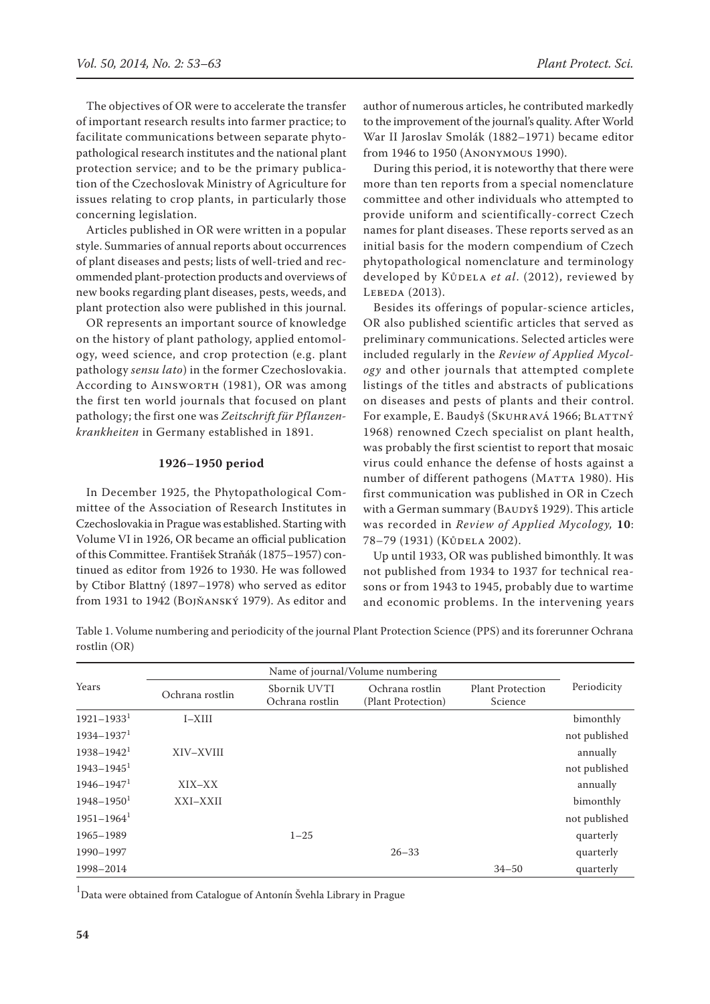The objectives of OR were to accelerate the transfer of important research results into farmer practice; to facilitate communications between separate phytopathological research institutes and the national plant protection service; and to be the primary publication of the Czechoslovak Ministry of Agriculture for issues relating to crop plants, in particularly those concerning legislation.

Articles published in OR were written in a popular style. Summaries of annual reports about occurrences of plant diseases and pests; lists of well-tried and recommended plant-protection products and overviews of new books regarding plant diseases, pests, weeds, and plant protection also were published in this journal.

OR represents an important source of knowledge on the history of plant pathology, applied entomology, weed science, and crop protection (e.g. plant pathology *sensu lato*) in the former Czechoslovakia. According to AINSWORTH (1981), OR was among the first ten world journals that focused on plant pathology; the first one was *Zeitschrift für Pflanzenkrankheiten* in Germany established in 1891.

#### **1926–1950 period**

In December 1925, the Phytopathological Committee of the Association of Research Institutes in Czechoslovakia in Prague was established. Starting with Volume VI in 1926, OR became an official publication of this Committee. František Straňák (1875–1957) continued as editor from 1926 to 1930. He was followed by Ctibor Blattný (1897–1978) who served as editor from 1931 to 1942 (Bojňanský 1979). As editor and

author of numerous articles, he contributed markedly to the improvement of the journal's quality. After World War II Jaroslav Smolák (1882–1971) became editor from 1946 to 1950 (Anonymous 1990).

During this period, it is noteworthy that there were more than ten reports from a special nomenclature committee and other individuals who attempted to provide uniform and scientifically-correct Czech names for plant diseases. These reports served as an initial basis for the modern compendium of Czech phytopathological nomenclature and terminology developed by Kůdela et al. (2012), reviewed by LEBEDA (2013).

Besides its offerings of popular-science articles, OR also published scientific articles that served as preliminary communications. Selected articles were included regularly in the *Review of Applied Mycology* and other journals that attempted complete listings of the titles and abstracts of publications on diseases and pests of plants and their control. For example, E. Baudyš (SKUHRAVÁ 1966; BLATTNÝ 1968) renowned Czech specialist on plant health, was probably the first scientist to report that mosaic virus could enhance the defense of hosts against a number of different pathogens (MATTA 1980). His first communication was published in OR in Czech with a German summary (BAUDYŠ 1929). This article was recorded in *Review of Applied Mycology,* **10**: 78–79 (1931) (Kůdela 2002).

Up until 1933, OR was published bimonthly. It was not published from 1934 to 1937 for technical reasons or from 1943 to 1945, probably due to wartime and economic problems. In the intervening years

Table 1. Volume numbering and periodicity of the journal Plant Protection Science (PPS) and its forerunner Ochrana rostlin (OR)

|                            |                 |                                 | Name of journal/Volume numbering      |                                    |               |  |
|----------------------------|-----------------|---------------------------------|---------------------------------------|------------------------------------|---------------|--|
| Years                      | Ochrana rostlin | Sbornik UVTI<br>Ochrana rostlin | Ochrana rostlin<br>(Plant Protection) | <b>Plant Protection</b><br>Science | Periodicity   |  |
| $1921 - 1933^1$            | I–XIII          |                                 |                                       |                                    | bimonthly     |  |
| $1934 - 1937$ <sup>1</sup> |                 |                                 |                                       |                                    | not published |  |
| $1938 - 1942$ <sup>1</sup> | XIV-XVIII       |                                 |                                       |                                    | annually      |  |
| $1943 - 1945$ <sup>1</sup> |                 |                                 |                                       |                                    | not published |  |
| $1946 - 1947$ <sup>1</sup> | XIX-XX          |                                 |                                       |                                    | annually      |  |
| $1948 - 1950$ <sup>1</sup> | XXI-XXII        |                                 |                                       |                                    | bimonthly     |  |
| $1951 - 1964$ <sup>1</sup> |                 |                                 |                                       |                                    | not published |  |
| 1965-1989                  |                 | $1 - 25$                        |                                       |                                    | quarterly     |  |
| 1990-1997                  |                 |                                 | $26 - 33$                             |                                    | quarterly     |  |
| 1998-2014                  |                 |                                 |                                       | $34 - 50$                          | quarterly     |  |

1 Data were obtained from Catalogue of Antonín Švehla Library in Prague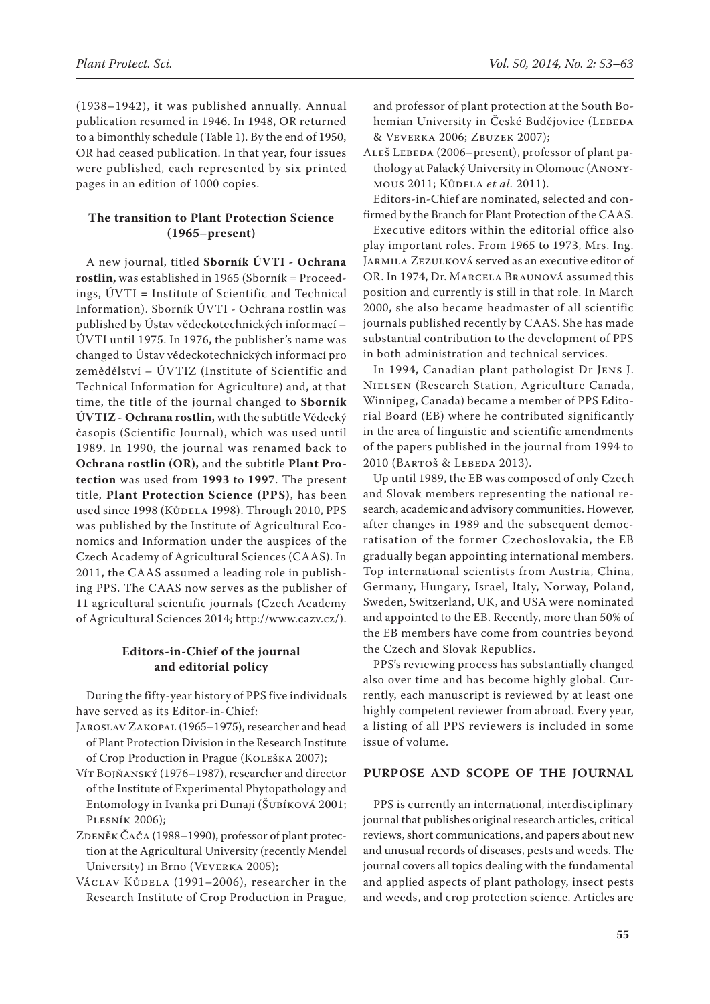(1938–1942), it was published annually. Annual publication resumed in 1946. In 1948, OR returned to a bimonthly schedule (Table 1). By the end of 1950, OR had ceased publication. In that year, four issues were published, each represented by six printed pages in an edition of 1000 copies.

# **The transition to Plant Protection Science (1965–present)**

A new journal, titled **Sborník ÚVTI - Ochrana rostlin,** was established in 1965 (Sborník = Proceedings, ÚVTI **=** Institute of Scientific and Technical Information). Sborník ÚVTI - Ochrana rostlin was published by Ústav vědeckotechnických informací – ÚVTI until 1975. In 1976, the publisher's name was changed to Ústav vědeckotechnických informací pro zemědělství – ÚVTIZ (Institute of Scientific and Technical Information for Agriculture) and, at that time, the title of the journal changed to **Sborník ÚVTIZ - Ochrana rostlin,** with the subtitle Vědecký časopis (Scientific Journal), which was used until 1989. In 1990, the journal was renamed back to **Ochrana rostlin (OR),** and the subtitle **Plant Protection** was used from **1993** to **1997**. The present title, **Plant Protection Science (PPS)**, has been used since 1998 (KŮDELA 1998). Through 2010, PPS was published by the Institute of Agricultural Economics and Information under the auspices of the Czech Academy of Agricultural Sciences (CAAS). In 2011, the CAAS assumed a leading role in publishing PPS. The CAAS now serves as the publisher of 11 agricultural scientific journals **(**Czech Academy of Agricultural Sciences 2014; http://www.cazv.cz/).

# **Editors-in-Chief of the journal and editorial policy**

During the fifty-year history of PPS five individuals have served as its Editor-in-Chief:

- Jaroslav Zakopal (1965–1975), researcher and head of Plant Protection Division in the Research Institute of Crop Production in Prague (Koleška 2007);
- Vít Bojňanský (1976–1987), researcher and director of the Institute of Experimental Phytopathology and Entomology in Ivanka pri Dunaji (Šubíková 2001; Plesník 2006);
- ZDENĚK ČAČA (1988–1990), professor of plant protection at the Agricultural University (recently Mendel University) in Brno (Veverka 2005);
- VÁCLAV KŮDELA (1991–2006), researcher in the Research Institute of Crop Production in Prague,

and professor of plant protection at the South Bohemian University in České Budějovice (LEBEDA & Veverka 2006; Zbuzek 2007);

ALEŠ LEBEDA (2006–present), professor of plant pathology at Palacký University in Olomouc (Anonymous 2011; Kůdela *et al.* 2011).

Editors-in-Chief are nominated, selected and confirmed by the Branch for Plant Protection of the CAAS.

Executive editors within the editorial office also play important roles. From 1965 to 1973, Mrs. Ing. Jarmila Zezulková served as an executive editor of OR. In 1974, Dr. Marcela Braunová assumed this position and currently is still in that role. In March 2000, she also became headmaster of all scientific journals published recently by CAAS. She has made substantial contribution to the development of PPS in both administration and technical services.

In 1994, Canadian plant pathologist Dr Jens J. Nielsen (Research Station, Agriculture Canada, Winnipeg, Canada) became a member of PPS Editorial Board (EB) where he contributed significantly in the area of linguistic and scientific amendments of the papers published in the journal from 1994 to 2010 (BARTOŠ & LEBEDA 2013).

Up until 1989, the EB was composed of only Czech and Slovak members representing the national research, academic and advisory communities. However, after changes in 1989 and the subsequent democratisation of the former Czechoslovakia, the EB gradually began appointing international members. Top international scientists from Austria, China, Germany, Hungary, Israel, Italy, Norway, Poland, Sweden, Switzerland, UK, and USA were nominated and appointed to the EB. Recently, more than 50% of the EB members have come from countries beyond the Czech and Slovak Republics.

PPS's reviewing process has substantially changed also over time and has become highly global. Currently, each manuscript is reviewed by at least one highly competent reviewer from abroad. Every year, a listing of all PPS reviewers is included in some issue of volume.

## **Purpose and scope of the journal**

PPS is currently an international, interdisciplinary journal that publishes original research articles, critical reviews, short communications, and papers about new and unusual records of diseases, pests and weeds. The journal covers all topics dealing with the fundamental and applied aspects of plant pathology, insect pests and weeds, and crop protection science. Articles are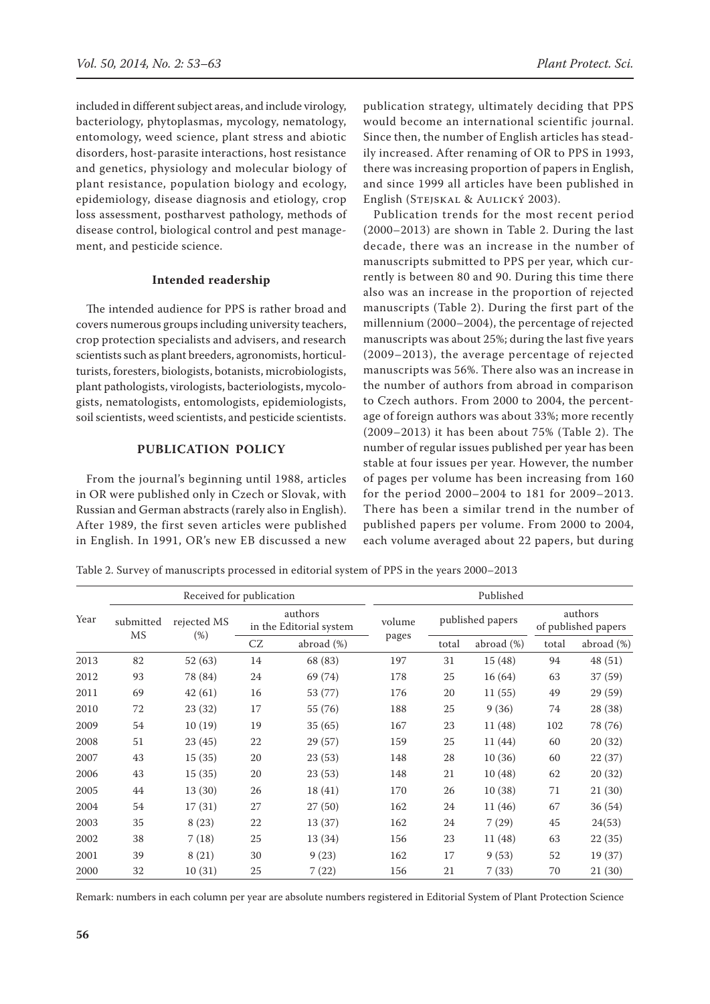included in different subject areas, and include virology, bacteriology, phytoplasmas, mycology, nematology, entomology, weed science, plant stress and abiotic disorders, host-parasite interactions, host resistance and genetics, physiology and molecular biology of plant resistance, population biology and ecology, epidemiology, disease diagnosis and etiology, crop loss assessment, postharvest pathology, methods of disease control, biological control and pest management, and pesticide science.

## **Intended readership**

The intended audience for PPS is rather broad and covers numerous groups including university teachers, crop protection specialists and advisers, and research scientists such as plant breeders, agronomists, horticulturists, foresters, biologists, botanists, microbiologists, plant pathologists, virologists, bacteriologists, mycologists, nematologists, entomologists, epidemiologists, soil scientists, weed scientists, and pesticide scientists.

## **Publication policy**

From the journal's beginning until 1988, articles in OR were published only in Czech or Slovak, with Russian and German abstracts (rarely also in English). After 1989, the first seven articles were published in English. In 1991, OR's new EB discussed a new

publication strategy, ultimately deciding that PPS would become an international scientific journal. Since then, the number of English articles has steadily increased. After renaming of OR to PPS in 1993, there was increasing proportion of papers in English, and since 1999 all articles have been published in English (Stejskal & Aulický 2003).

Publication trends for the most recent period (2000–2013) are shown in Table 2. During the last decade, there was an increase in the number of manuscripts submitted to PPS per year, which currently is between 80 and 90. During this time there also was an increase in the proportion of rejected manuscripts (Table 2). During the first part of the millennium (2000–2004), the percentage of rejected manuscripts was about 25%; during the last five years (2009–2013), the average percentage of rejected manuscripts was 56%. There also was an increase in the number of authors from abroad in comparison to Czech authors. From 2000 to 2004, the percentage of foreign authors was about 33%; more recently (2009–2013) it has been about 75% (Table 2). The number of regular issues published per year has been stable at four issues per year. However, the number of pages per volume has been increasing from 160 for the period 2000–2004 to 181 for 2009–2013. There has been a similar trend in the number of published papers per volume. From 2000 to 2004, each volume averaged about 22 papers, but during

Table 2. Survey of manuscripts processed in editorial system of PPS in the years 2000–2013

|      |           | Received for publication |    |                                    |        |       | Published        |                                |               |
|------|-----------|--------------------------|----|------------------------------------|--------|-------|------------------|--------------------------------|---------------|
| Year | submitted | rejected MS              |    | authors<br>in the Editorial system | volume |       | published papers | authors<br>of published papers |               |
|      | MS        | $(\%)$                   | CZ | abroad $(\%)$                      | pages  | total | abroad $(\%)$    | total                          | abroad $(\%)$ |
| 2013 | 82        | 52(63)                   | 14 | 68 (83)                            | 197    | 31    | 15 (48)          | 94                             | 48 (51)       |
| 2012 | 93        | 78 (84)                  | 24 | 69 (74)                            | 178    | 25    | 16 (64)          | 63                             | 37 (59)       |
| 2011 | 69        | 42(61)                   | 16 | 53 (77)                            | 176    | 20    | 11(55)           | 49                             | 29 (59)       |
| 2010 | 72        | 23 (32)                  | 17 | 55 (76)                            | 188    | 25    | 9(36)            | 74                             | 28 (38)       |
| 2009 | 54        | 10(19)                   | 19 | 35(65)                             | 167    | 23    | 11 (48)          | 102                            | 78 (76)       |
| 2008 | 51        | 23(45)                   | 22 | 29 (57)                            | 159    | 25    | 11 (44)          | 60                             | 20(32)        |
| 2007 | 43        | 15(35)                   | 20 | 23(53)                             | 148    | 28    | 10(36)           | 60                             | 22(37)        |
| 2006 | 43        | 15(35)                   | 20 | 23(53)                             | 148    | 21    | 10(48)           | 62                             | 20(32)        |
| 2005 | 44        | 13(30)                   | 26 | 18(41)                             | 170    | 26    | 10(38)           | 71                             | 21(30)        |
| 2004 | 54        | 17(31)                   | 27 | 27(50)                             | 162    | 24    | 11 (46)          | 67                             | 36 (54)       |
| 2003 | 35        | 8(23)                    | 22 | 13 (37)                            | 162    | 24    | 7(29)            | 45                             | 24(53)        |
| 2002 | 38        | 7(18)                    | 25 | 13 (34)                            | 156    | 23    | 11 (48)          | 63                             | 22(35)        |
| 2001 | 39        | 8(21)                    | 30 | 9(23)                              | 162    | 17    | 9(53)            | 52                             | 19 (37)       |
| 2000 | 32        | 10(31)                   | 25 | 7(22)                              | 156    | 21    | 7(33)            | 70                             | 21 (30)       |

Remark: numbers in each column per year are absolute numbers registered in Editorial System of Plant Protection Science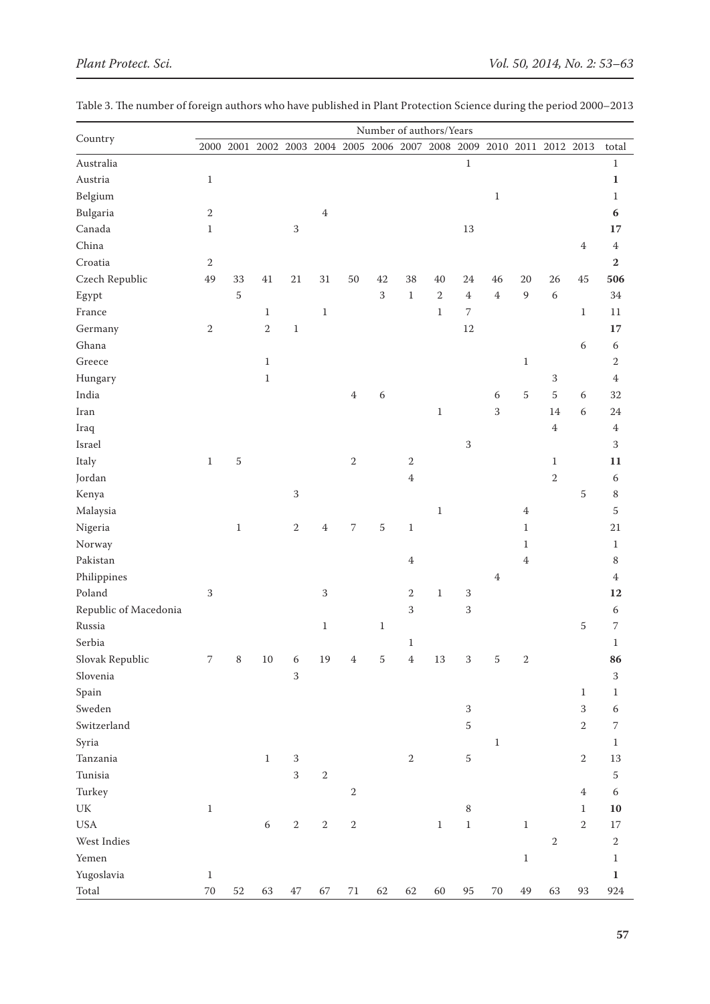|                                 |                          |                |                                                                       |                |            |                | Number of authors/Years |                |                |                |                |                |                |              |                |
|---------------------------------|--------------------------|----------------|-----------------------------------------------------------------------|----------------|------------|----------------|-------------------------|----------------|----------------|----------------|----------------|----------------|----------------|--------------|----------------|
| Country                         |                          |                | 2000 2001 2002 2003 2004 2005 2006 2007 2008 2009 2010 2011 2012 2013 |                |            |                |                         |                |                |                |                |                |                |              | total          |
| Australia                       |                          |                |                                                                       |                |            |                |                         |                |                | $\,1\,$        |                |                |                |              | $\,1\,$        |
| Austria                         | $\,1$                    |                |                                                                       |                |            |                |                         |                |                |                |                |                |                |              | $\mathbf 1$    |
| Belgium                         |                          |                |                                                                       |                |            |                |                         |                |                |                | $\mathbf{1}$   |                |                |              | $\mathbf{1}$   |
| Bulgaria                        | $\sqrt{2}$               |                |                                                                       |                | $\bf 4$    |                |                         |                |                |                |                |                |                |              | 6              |
| Canada                          | $\,1$                    |                |                                                                       | $\,3$          |            |                |                         |                |                | 13             |                |                |                |              | 17             |
| China                           |                          |                |                                                                       |                |            |                |                         |                |                |                |                |                |                | $\,4\,$      | $\overline{4}$ |
| Croatia                         | $\sqrt{2}$               |                |                                                                       |                |            |                |                         |                |                |                |                |                |                |              | $\bf 2$        |
| Czech Republic                  | 49                       | 33             | $41\,$                                                                | $21\,$         | 31         | 50             | 42                      | 38             | 40             | 24             | 46             | 20             | 26             | $45\,$       | 506            |
| Egypt                           |                          | $\overline{5}$ |                                                                       |                |            |                | $\overline{3}$          | $\mathbf{1}$   | $\overline{2}$ | $\overline{4}$ | $\overline{4}$ | 9              | $\sqrt{6}$     |              | 34             |
| France                          |                          |                | $\,1\,$                                                               |                | $\,1\,$    |                |                         |                | $\mathbf{1}$   | $\sqrt{ }$     |                |                |                | $\mathbf{1}$ | $11\,$         |
| Germany                         | $\,2$                    |                | $\sqrt{2}$                                                            | $1\,$          |            |                |                         |                |                | 12             |                |                |                |              | 17             |
| Ghana                           |                          |                |                                                                       |                |            |                |                         |                |                |                |                |                |                | $\sqrt{6}$   | $\sqrt{6}$     |
| Greece                          |                          |                | $\mathbf{1}$                                                          |                |            |                |                         |                |                |                |                | $\mathbf{1}$   |                |              | $\,2$          |
| Hungary                         |                          |                | $\mathbf{1}$                                                          |                |            |                |                         |                |                |                |                |                | $\,3$          |              | $\overline{4}$ |
| India                           |                          |                |                                                                       |                |            | $\,4\,$        | $\sqrt{6}$              |                |                |                | $\sqrt{6}$     | $\overline{5}$ | $\overline{5}$ | $\sqrt{6}$   | 32             |
| Iran                            |                          |                |                                                                       |                |            |                |                         |                | $\,1$          |                | 3              |                | 14             | $\sqrt{6}$   | 24             |
| Iraq                            |                          |                |                                                                       |                |            |                |                         |                |                |                |                |                | $\,4\,$        |              | $\,4\,$        |
| Israel                          |                          |                |                                                                       |                |            |                |                         |                |                | $\sqrt{3}$     |                |                |                |              | $\mathbf{3}$   |
| Italy                           | $\,1$                    | $\sqrt{5}$     |                                                                       |                |            | $\sqrt{2}$     |                         | $\sqrt{2}$     |                |                |                |                | $\,1\,$        |              | 11             |
| Jordan                          |                          |                |                                                                       |                |            |                |                         | $\overline{4}$ |                |                |                |                | $\sqrt{2}$     |              | $\sqrt{6}$     |
| Kenya                           |                          |                |                                                                       | $\sqrt{3}$     |            |                |                         |                |                |                |                |                |                | 5            | $\,8\,$        |
| Malaysia                        |                          |                |                                                                       |                |            |                |                         |                | $\mathbf{1}$   |                |                | $\,4\,$        |                |              | $\sqrt{5}$     |
| Nigeria                         |                          | $\,1\,$        |                                                                       | $\sqrt{2}$     | $\,4\,$    | $\overline{7}$ | $\sqrt{5}$              | $\mathbf{1}$   |                |                |                | $\mathbf{1}$   |                |              | $21\,$         |
| Norway                          |                          |                |                                                                       |                |            |                |                         |                |                |                |                | $\mathbf{1}$   |                |              | $\mathbf{1}$   |
| Pakistan                        |                          |                |                                                                       |                |            |                |                         | $\,4\,$        |                |                |                | $\overline{4}$ |                |              | $\,$ 8 $\,$    |
| Philippines                     |                          |                |                                                                       |                |            |                |                         |                |                |                | $\,4\,$        |                |                |              | $\overline{4}$ |
| Poland                          | 3                        |                |                                                                       |                | $\sqrt{3}$ |                |                         | $\,2$          | $\,1$          | $\sqrt{3}$     |                |                |                |              | 12             |
| Republic of Macedonia           |                          |                |                                                                       |                |            |                |                         | 3              |                | $\mathbf{3}$   |                |                |                |              | 6              |
| Russia                          |                          |                |                                                                       |                | $\,1\,$    |                | $1\,$                   |                |                |                |                |                |                | 5            | 7              |
| Serbia                          |                          |                |                                                                       |                |            |                |                         | $\mathbf{1}$   |                |                |                |                |                |              | $\,1$          |
| Slovak Republic                 | $\overline{\phantom{a}}$ | $\,8\,$        | $10\,$                                                                | 6              | 19         | $\,4\,$        | $\sqrt{5}$              | $\bf 4$        | $13\,$         | $\sqrt{3}$     | 5              | $\sqrt{2}$     |                |              | 86             |
| Slovenia                        |                          |                |                                                                       | 3              |            |                |                         |                |                |                |                |                |                |              | $\sqrt{3}$     |
| Spain                           |                          |                |                                                                       |                |            |                |                         |                |                |                |                |                |                | $\mathbf{1}$ | $\mathbf{1}$   |
| Sweden                          |                          |                |                                                                       |                |            |                |                         |                |                | $\,3$          |                |                |                | 3            | 6              |
| Switzerland                     |                          |                |                                                                       |                |            |                |                         |                |                | $\sqrt{5}$     |                |                |                | $\,2\,$      | 7              |
| Syria                           |                          |                |                                                                       |                |            |                |                         |                |                |                | $\,1\,$        |                |                |              | $\mathbf{1}$   |
| Tanzania                        |                          |                | $\,1$                                                                 | $\sqrt{3}$     |            |                |                         | $\sqrt{2}$     |                | $\sqrt{5}$     |                |                |                | $\sqrt{2}$   | $13\,$         |
| Tunisia                         |                          |                |                                                                       | $\overline{3}$ | $\sqrt{2}$ |                |                         |                |                |                |                |                |                |              | $\sqrt{5}$     |
| Turkey                          |                          |                |                                                                       |                |            | $\,2$          |                         |                |                |                |                |                |                | $\,4\,$      | 6              |
| $\ensuremath{\text{UK}}\xspace$ | $\,1$                    |                |                                                                       |                |            |                |                         |                |                | $\,8\,$        |                |                |                | $\,1$        | $10\,$         |
| <b>USA</b>                      |                          |                | $\boldsymbol{6}$                                                      | $\overline{2}$ |            | $\sqrt{2}$     |                         |                | $\,1\,$        | $\,1\,$        |                | $\,1$          |                | $\,2$        | $17\,$         |
| West Indies                     |                          |                |                                                                       |                | $\,2$      |                |                         |                |                |                |                |                | $\sqrt{2}$     |              | $\,2$          |
| Yemen                           |                          |                |                                                                       |                |            |                |                         |                |                |                |                |                |                |              |                |
|                                 |                          |                |                                                                       |                |            |                |                         |                |                |                |                | $\mathbf{1}$   |                |              | $\mathbf{1}$   |
| Yugoslavia<br>Total             | $\,1\,$<br>$70\,$        | $52\,$         | 63                                                                    |                |            |                | 62                      | 62             | 60             | 95             |                | 49             | 63             | 93           | $\mathbf 1$    |
|                                 |                          |                |                                                                       | $47\,$         | 67         | $71\,$         |                         |                |                |                | $70\,$         |                |                |              | 924            |

Table 3. The number of foreign authors who have published in Plant Protection Science during the period 2000–2013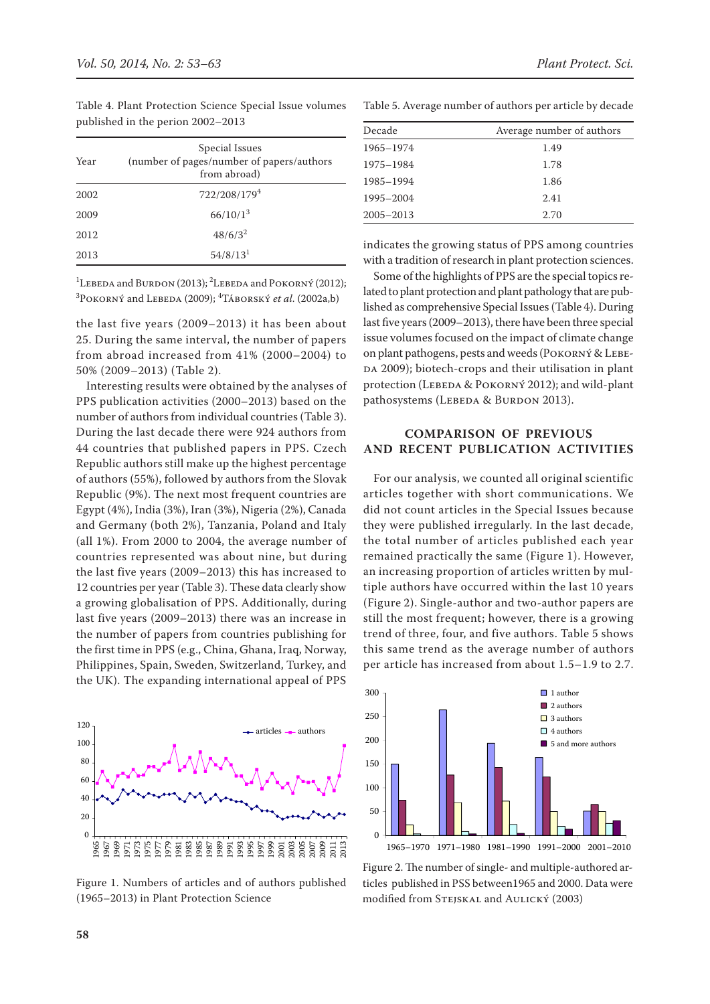Table 4. Plant Protection Science Special Issue volumes published in the perion 2002–2013

| Year | Special Issues<br>(number of pages/number of papers/authors<br>from abroad) |
|------|-----------------------------------------------------------------------------|
| 2002 | 722/208/1794                                                                |
| 2009 | 66/10/1 <sup>3</sup>                                                        |
| 2012 | $48/6/3^2$                                                                  |
| 2013 | 54/8/13 <sup>1</sup>                                                        |

<sup>1</sup>LEBEDA and BURDON (2013); <sup>2</sup>LEBEDA and POKORNÝ (2012); <sup>3</sup> Роковну́ and Lebeda (2009); <sup>4</sup> Та́вовsку́ *et al*. (2002a,b)

the last five years (2009–2013) it has been about 25. During the same interval, the number of papers from abroad increased from 41% (2000–2004) to 50% (2009–2013) (Table 2).

Interesting results were obtained by the analyses of PPS publication activities (2000–2013) based on the number of authors from individual countries (Table 3). During the last decade there were 924 authors from 44 countries that published papers in PPS. Czech Republic authors still make up the highest percentage of authors (55%), followed by authors from the Slovak Republic (9%). The next most frequent countries are Egypt (4%), India (3%), Iran (3%), Nigeria (2%), Canada and Germany (both 2%), Tanzania, Poland and Italy (all 1%). From 2000 to 2004, the average number of countries represented was about nine, but during the last five years (2009–2013) this has increased to 12 countries per year (Table 3). These data clearly show a growing globalisation of PPS. Additionally, during last five years (2009–2013) there was an increase in the number of papers from countries publishing for the first time in PPS (e.g., China, Ghana, Iraq, Norway, Philippines, Spain, Sweden, Switzerland, Turkey, and the UK). The expanding international appeal of PPS



Figure 1. Numbers of articles and of authors published (1965–2013) in Plant Protection Science

Table 5. Average number of authors per article by decade

| Decade        | Average number of authors |
|---------------|---------------------------|
| 1965-1974     | 1.49                      |
| 1975-1984     | 1.78                      |
| 1985-1994     | 1.86                      |
| 1995-2004     | 2.41                      |
| $2005 - 2013$ | 2.70                      |

indicates the growing status of PPS among countries with a tradition of research in plant protection sciences.

Some of the highlights of PPS are the special topics related to plant protection and plant pathology that are published as comprehensive Special Issues (Table 4). During last five years (2009–2013), there have been three special issue volumes focused on the impact of climate change on plant pathogens, pests and weeds (Pokorný & Lebe-DA 2009); biotech-crops and their utilisation in plant protection (LEBEDA & POKORNÝ 2012); and wild-plant pathosystems (LEBEDA & BURDON 2013).

## **Comparison of previous and recent publication activities**

For our analysis, we counted all original scientific articles together with short communications. We did not count articles in the Special Issues because they were published irregularly. In the last decade, the total number of articles published each year remained practically the same (Figure 1). However, an increasing proportion of articles written by multiple authors have occurred within the last 10 years (Figure 2). Single-author and two-author papers are still the most frequent; however, there is a growing trend of three, four, and five authors. Table 5 shows this same trend as the average number of authors per article has increased from about 1.5–1.9 to 2.7.



Figure 2. The number of single- and multiple-authored articles published in PSS between1965 and 2000. Data were modified from Stejskal and Aulický (2003)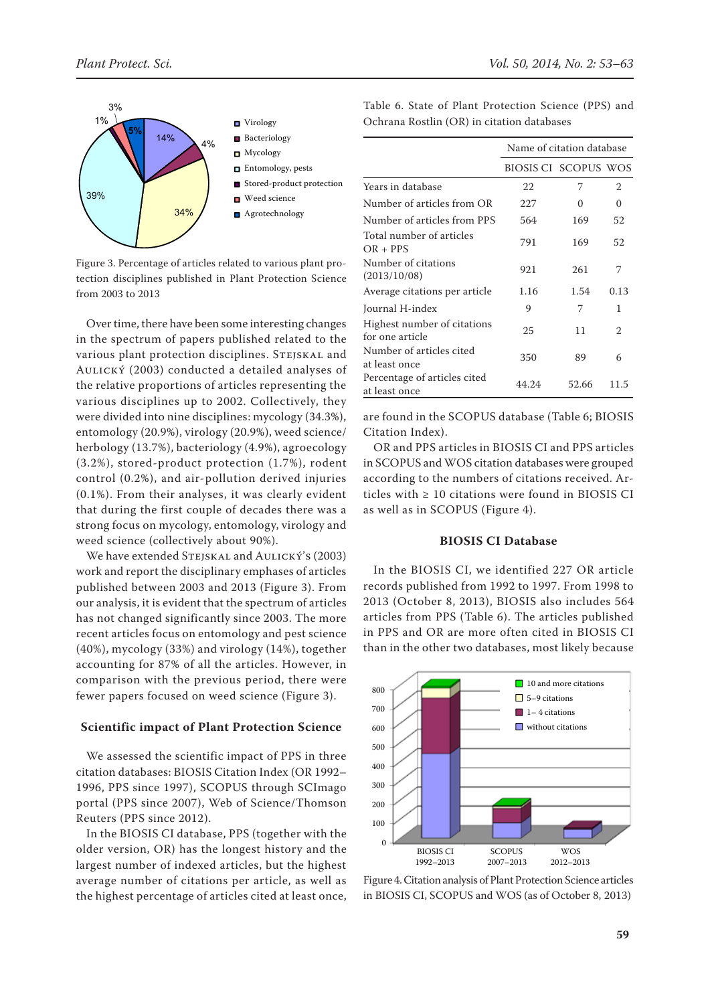

Figure 3. Percentage of articles related to various plant protection disciplines published in Plant Protection Science from 2003 to 2013

Over time, there have been some interesting changes in the spectrum of papers published related to the various plant protection disciplines. STEJSKAL and Aulický (2003) conducted a detailed analyses of the relative proportions of articles representing the various disciplines up to 2002. Collectively, they were divided into nine disciplines: mycology (34.3%), entomology (20.9%), virology (20.9%), weed science/ herbology (13.7%), bacteriology (4.9%), agroecology (3.2%), stored-product protection (1.7%), rodent control (0.2%), and air-pollution derived injuries (0.1%). From their analyses, it was clearly evident that during the first couple of decades there was a strong focus on mycology, entomology, virology and weed science (collectively about 90%).

We have extended STEJSKAL and AULICKÝ's (2003) work and report the disciplinary emphases of articles published between 2003 and 2013 (Figure 3). From our analysis, it is evident that the spectrum of articles has not changed significantly since 2003. The more recent articles focus on entomology and pest science (40%), mycology (33%) and virology (14%), together accounting for 87% of all the articles. However, in comparison with the previous period, there were fewer papers focused on weed science (Figure 3).

#### **Scientific impact of Plant Protection Science**

We assessed the scientific impact of PPS in three citation databases: BIOSIS Citation Index (OR 1992– 1996, PPS since 1997), SCOPUS through SCImago portal (PPS since 2007), Web of Science/Thomson Reuters (PPS since 2012).

In the BIOSIS CI database, PPS (together with the older version, OR) has the longest history and the largest number of indexed articles, but the highest average number of citations per article, as well as the highest percentage of articles cited at least once, Table 6. State of Plant Protection Science (PPS) and Ochrana Rostlin (OR) in citation databases

|                                                | Name of citation database |       |      |  |  |  |
|------------------------------------------------|---------------------------|-------|------|--|--|--|
|                                                | BIOSIS CI SCOPUS WOS      |       |      |  |  |  |
| Years in database                              | 22                        | 7     | 2    |  |  |  |
| Number of articles from OR                     | 227                       | 0     | 0    |  |  |  |
| Number of articles from PPS                    | 564                       | 169   | 52   |  |  |  |
| Total number of articles<br>$OR + PPS$         | 791                       | 169   | 52   |  |  |  |
| Number of citations<br>(2013/10/08)            | 921                       | 261   | 7    |  |  |  |
| Average citations per article                  | 1.16                      | 1.54  | 0.13 |  |  |  |
| Journal H-index                                | 9                         | 7     | 1    |  |  |  |
| Highest number of citations<br>for one article | 25                        | 11    | 2    |  |  |  |
| Number of articles cited<br>at least once      | 350                       | 89    | 6    |  |  |  |
| Percentage of articles cited<br>at least once  | 44.24                     | 52.66 | 11.5 |  |  |  |

are found in the SCOPUS database (Table 6; BIOSIS Citation Index).

OR and PPS articles in Biosis CI and PPS articles in SCOPUS and WOS citation databases were grouped according to the numbers of citations received. Articles with ≥ 10 citations were found in BIOSIS CI as well as in SCOPUS (Figure 4).

## **BIOSIS CI Database**

In the BIOSIS CI, we identified 227 OR article records published from 1992 to 1997. From 1998 to 2013 (October 8, 2013), BIOSIS also includes 564 articles from PPS (Table 6). The articles published in PPS and OR are more often cited in BIOSIS CI than in the other two databases, most likely because



Figure 4. Citation analysis of Plant Protection Science articles in Biosis CI, Scopus and WOS (as of October 8, 2013)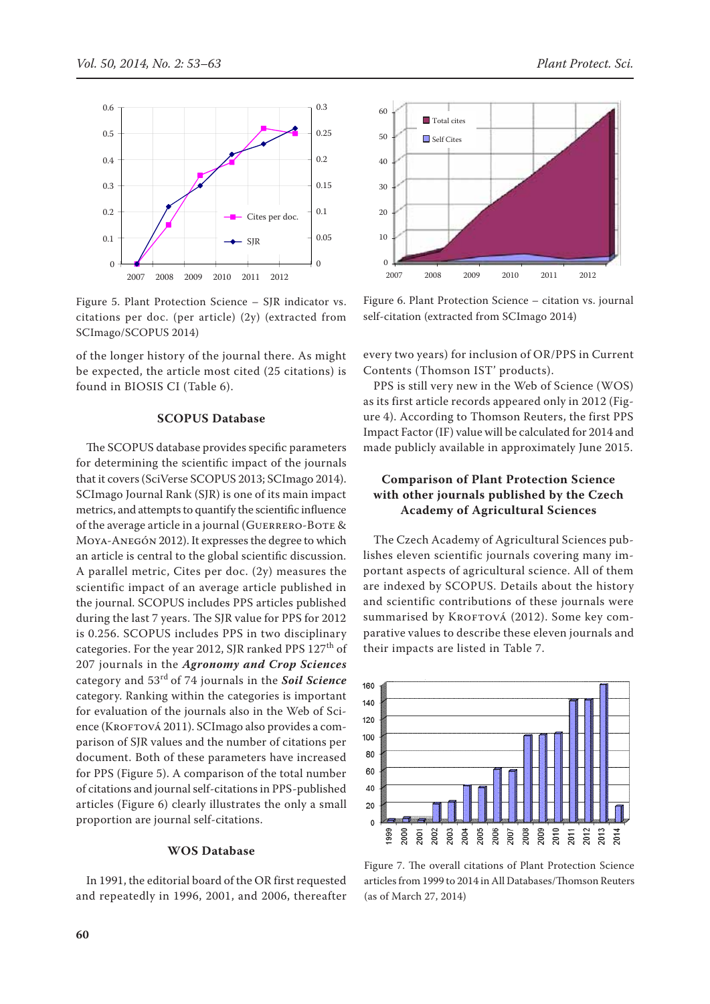

Figure 5. Plant Protection Science – SJR indicator vs. citations per doc. (per article) (2y) (extracted from SCImago/SCOPUS 2014)

of the longer history of the journal there. As might be expected, the article most cited (25 citations) is found in BIOSIS CI (Table 6).

## **SCOPUS Database**

The SCOPUS database provides specific parameters for determining the scientific impact of the journals that it covers (SciVerse SCOPUS 2013; SCImago 2014). SCImago Journal Rank (SJR) is one of its main impact metrics, and attempts to quantify the scientific influence of the average article in a journal (GUERRERO-BOTE & Moya-Anegón 2012). It expresses the degree to which an article is central to the global scientific discussion. A parallel metric, Cites per doc. (2y) measures the scientific impact of an average article published in the journal. SCOPUS includes PPS articles published during the last 7 years. The SJR value for PPS for 2012 is 0.256. SCOPUS includes PPS in two disciplinary categories. For the year 2012, SJR ranked PPS 127<sup>th</sup> of 207 journals in the *Agronomy and Crop Sciences*  category and 53rd of 74 journals in the *Soil Science*  category. Ranking within the categories is important for evaluation of the journals also in the Web of Science (KROFTOVÁ 2011). SCImago also provides a comparison of SJR values and the number of citations per document. Both of these parameters have increased for PPS (Figure 5). A comparison of the total number of citations and journal self-citations in PPS-published articles (Figure 6) clearly illustrates the only a small proportion are journal self-citations.

## **WOS Database**

In 1991, the editorial board of the OR first requested and repeatedly in 1996, 2001, and 2006, thereafter



Figure 6. Plant Protection Science – citation vs. journal self-citation (extracted from SCImago 2014)

every two years) for inclusion of OR/PPS in Current Contents (Thomson IST' products).

PPS is still very new in the Web of Science (WOS) as its first article records appeared only in 2012 (Figure 4). According to Thomson Reuters, the first PPS Impact Factor (IF) value will be calculated for 2014 and made publicly available in approximately June 2015.

# **Comparison of Plant Protection Science with other journals published by the Czech Academy of Agricultural Sciences**

The Czech Academy of Agricultural Sciences publishes eleven scientific journals covering many important aspects of agricultural science. All of them are indexed by SCOPUS. Details about the history and scientific contributions of these journals were summarised by KROFTOVÁ (2012). Some key comparative values to describe these eleven journals and their impacts are listed in Table 7.



Figure 7. The overall citations of Plant Protection Science articles from 1999 to 2014 in All Databases/Thomson Reuters (as of March 27, 2014)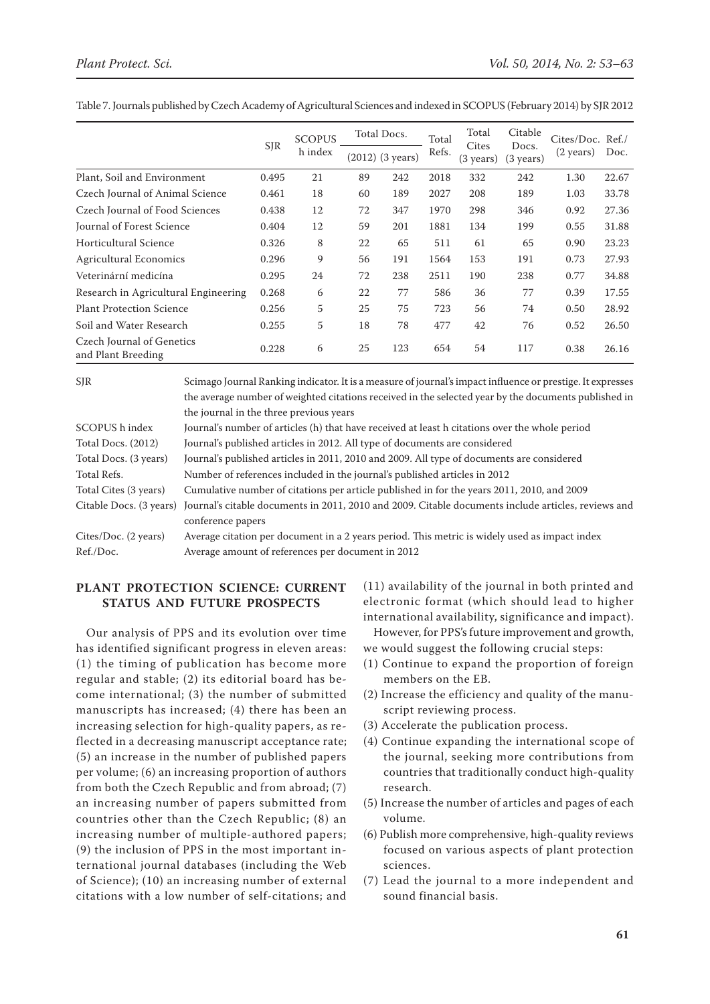|                                                 |            | <b>SCOPUS</b><br>h index |    | Total Docs.                  | Total | Total<br>Cites<br>(3 years) | Citable<br>Docs.<br>$(3 \text{ years})$ | Cites/Doc. Ref. /<br>$(2 \text{ years})$ |       |
|-------------------------------------------------|------------|--------------------------|----|------------------------------|-------|-----------------------------|-----------------------------------------|------------------------------------------|-------|
|                                                 | <b>SJR</b> |                          |    | $(2012)$ $(3 \text{ years})$ | Refs. |                             |                                         |                                          | Doc.  |
| Plant, Soil and Environment                     | 0.495      | 21                       | 89 | 242                          | 2018  | 332                         | 242                                     | 1.30                                     | 22.67 |
| Czech Journal of Animal Science                 | 0.461      | 18                       | 60 | 189                          | 2027  | 208                         | 189                                     | 1.03                                     | 33.78 |
| Czech Journal of Food Sciences                  | 0.438      | 12                       | 72 | 347                          | 1970  | 298                         | 346                                     | 0.92                                     | 27.36 |
| <b>Journal of Forest Science</b>                | 0.404      | 12                       | 59 | 201                          | 1881  | 134                         | 199                                     | 0.55                                     | 31.88 |
| Horticultural Science                           | 0.326      | 8                        | 22 | 65                           | 511   | 61                          | 65                                      | 0.90                                     | 23.23 |
| <b>Agricultural Economics</b>                   | 0.296      | 9                        | 56 | 191                          | 1564  | 153                         | 191                                     | 0.73                                     | 27.93 |
| Veterinární medicína                            | 0.295      | 24                       | 72 | 238                          | 2511  | 190                         | 238                                     | 0.77                                     | 34.88 |
| Research in Agricultural Engineering            | 0.268      | 6                        | 22 | 77                           | 586   | 36                          | 77                                      | 0.39                                     | 17.55 |
| <b>Plant Protection Science</b>                 | 0.256      | 5                        | 25 | 75                           | 723   | 56                          | 74                                      | 0.50                                     | 28.92 |
| Soil and Water Research                         | 0.255      | 5                        | 18 | 78                           | 477   | 42                          | 76                                      | 0.52                                     | 26.50 |
| Czech Journal of Genetics<br>and Plant Breeding | 0.228      | 6                        | 25 | 123                          | 654   | 54                          | 117                                     | 0.38                                     | 26.16 |

Table 7. Journals published by Czech Academy of Agricultural Sciences and indexed in SCOPUS (February 2014) by SJR 2012

| <b>SJR</b>            | Scimago Journal Ranking indicator. It is a measure of journal's impact influence or prestige. It expresses                  |
|-----------------------|-----------------------------------------------------------------------------------------------------------------------------|
|                       | the average number of weighted citations received in the selected year by the documents published in                        |
|                       | the journal in the three previous years                                                                                     |
| SCOPUS h index        | Journal's number of articles (h) that have received at least h citations over the whole period                              |
| Total Docs. (2012)    | Journal's published articles in 2012. All type of documents are considered                                                  |
| Total Docs. (3 years) | Journal's published articles in 2011, 2010 and 2009. All type of documents are considered                                   |
| Total Refs.           | Number of references included in the journal's published articles in 2012                                                   |
| Total Cites (3 years) | Cumulative number of citations per article published in for the years 2011, 2010, and 2009                                  |
|                       | Citable Docs. (3 years) Journal's citable documents in 2011, 2010 and 2009. Citable documents include articles, reviews and |
|                       | conference papers                                                                                                           |
| Cites/Doc. (2 years)  | Average citation per document in a 2 years period. This metric is widely used as impact index                               |
| Ref./Doc.             | Average amount of references per document in 2012                                                                           |
|                       |                                                                                                                             |

# **Plant Protection Science: current status and future prospects**

Our analysis of PPS and its evolution over time has identified significant progress in eleven areas: (1) the timing of publication has become more regular and stable; (2) its editorial board has become international; (3) the number of submitted manuscripts has increased; (4) there has been an increasing selection for high-quality papers, as reflected in a decreasing manuscript acceptance rate; (5) an increase in the number of published papers per volume; (6) an increasing proportion of authors from both the Czech Republic and from abroad; (7) an increasing number of papers submitted from countries other than the Czech Republic; (8) an increasing number of multiple-authored papers; (9) the inclusion of PPS in the most important international journal databases (including the Web of Science); (10) an increasing number of external citations with a low number of self-citations; and

(11) availability of the journal in both printed and electronic format (which should lead to higher international availability, significance and impact).

However, for PPS's future improvement and growth, we would suggest the following crucial steps:

- (1) Continue to expand the proportion of foreign members on the EB.
- (2) Increase the efficiency and quality of the manuscript reviewing process.
- (3) Accelerate the publication process.
- (4) Continue expanding the international scope of the journal, seeking more contributions from countries that traditionally conduct high-quality research.
- (5) Increase the number of articles and pages of each volume.
- (6) Publish more comprehensive, high-quality reviews focused on various aspects of plant protection sciences.
- (7) Lead the journal to a more independent and sound financial basis.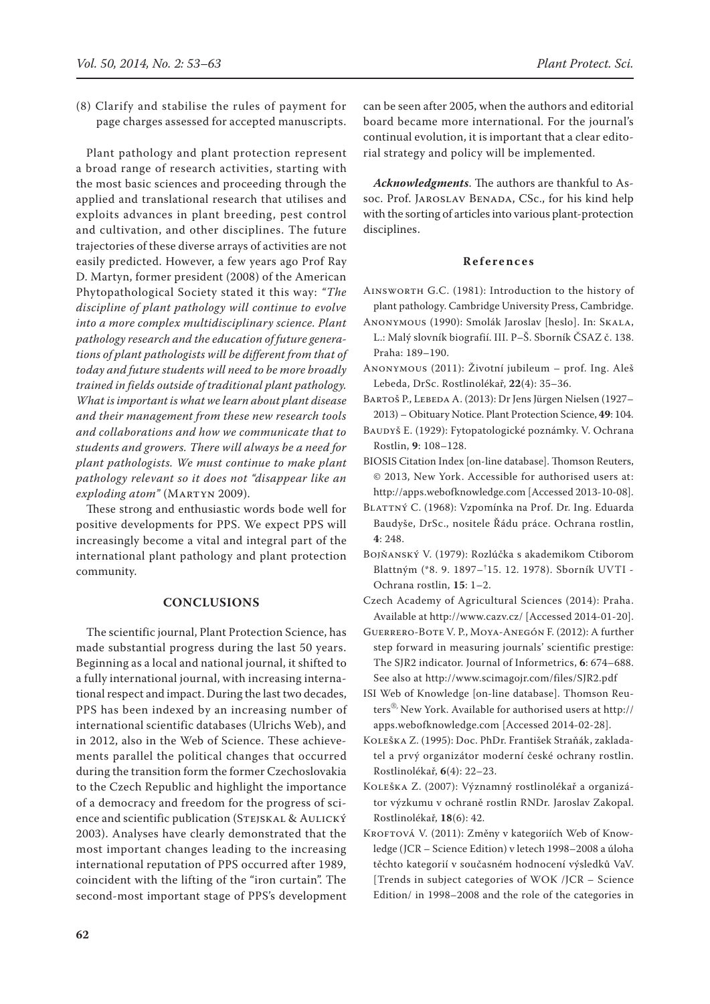(8) Clarify and stabilise the rules of payment for page charges assessed for accepted manuscripts.

Plant pathology and plant protection represent a broad range of research activities, starting with the most basic sciences and proceeding through the applied and translational research that utilises and exploits advances in plant breeding, pest control and cultivation, and other disciplines. The future trajectories of these diverse arrays of activities are not easily predicted. However, a few years ago Prof Ray D. Martyn, former president (2008) of the American Phytopathological Society stated it this way: *"The discipline of plant pathology will continue to evolve into a more complex multidisciplinary science. Plant pathology research and the education of future generations of plant pathologists will be different from that of today and future students will need to be more broadly trained in fields outside of traditional plant pathology. What is important is what we learn about plant disease and their management from these new research tools and collaborations and how we communicate that to students and growers. There will always be a need for plant pathologists. We must continue to make plant pathology relevant so it does not "disappear like an*   $exploding atom"$  (MARTYN 2009).

These strong and enthusiastic words bode well for positive developments for PPS. We expect PPS will increasingly become a vital and integral part of the international plant pathology and plant protection community.

## **CONCLUSIONS**

The scientific journal, Plant Protection Science, has made substantial progress during the last 50 years. Beginning as a local and national journal, it shifted to a fully international journal, with increasing international respect and impact. During the last two decades, PPS has been indexed by an increasing number of international scientific databases (Ulrichs Web), and in 2012, also in the Web of Science. These achievements parallel the political changes that occurred during the transition form the former Czechoslovakia to the Czech Republic and highlight the importance of a democracy and freedom for the progress of science and scientific publication (Stejskal & Aulický 2003). Analyses have clearly demonstrated that the most important changes leading to the increasing international reputation of PPS occurred after 1989, coincident with the lifting of the "iron curtain". The second-most important stage of PPS's development

can be seen after 2005, when the authors and editorial board became more international. For the journal's continual evolution, it is important that a clear editorial strategy and policy will be implemented.

*Acknowledgments*. The authors are thankful to Assoc. Prof. JAROSLAV BENADA, CSc., for his kind help with the sorting of articles into various plant-protection disciplines.

#### **References**

- Ainsworth G.C. (1981): Introduction to the history of plant pathology. Cambridge University Press, Cambridge.
- Anonymous (1990): Smolák Jaroslav [heslo]. In: Skala, L.: Malý slovník biografií. III. P–Š. Sborník ČSAZ č. 138. Praha: 189–190.
- Anonymous (2011): Životní jubileum prof. Ing. Aleš Lebeda, DrSc. Rostlinolékař, **22**(4): 35–36.
- BARTOŠ P., LEBEDA A. (2013): Dr Jens Jürgen Nielsen (1927– 2013) – Obituary Notice. Plant Protection Science, **49**: 104.
- Baudyš E. (1929): Fytopatologické poznámky. V. Ochrana Rostlin, **9**: 108–128.
- BIOSIS Citation Index [on-line database]. Thomson Reuters, © 2013, New York. Accessible for authorised users at: http://apps.webofknowledge.com [Accessed 2013-10-08].
- BLATTNÝ C. (1968): Vzpomínka na Prof. Dr. Ing. Eduarda Baudyše, DrSc., nositele Řádu práce. Ochrana rostlin, **4**: 248.
- Bojňanský V. (1979): Rozlúčka s akademikom Ctiborom Blattným (\*8. 9. 1897–† 15. 12. 1978). Sborník UVTI - Ochrana rostlin, **15**: 1–2.
- Czech Academy of Agricultural Sciences (2014): Praha. Available at http://www.cazv.cz/ [Accessed 2014-01-20].
- Guerrero-Bote V. P., Moya-Anegón F. (2012): A further step forward in measuring journals' scientific prestige: The SJR2 indicator. Journal of Informetrics, **6**: 674–688. See also at http://www.scimagojr.com/files/SJR2.pdf
- ISI Web of Knowledge [on-line database]. Thomson Reuters®, New York. Available for authorised users at http:// apps.webofknowledge.com [Accessed 2014-02-28].
- Koleška Z. (1995): Doc. PhDr. František Straňák, zakladatel a prvý organizátor moderní české ochrany rostlin. Rostlinolékař, **6**(4): 22–23.
- Koleška Z. (2007): Významný rostlinolékař a organizátor výzkumu v ochraně rostlin RNDr. Jaroslav Zakopal. Rostlinolékař, **18**(6): 42.
- KROFTOVÁ V. (2011): Změny v kategoriích Web of Knowledge (JCR – Science Edition) v letech 1998–2008 a úloha těchto kategorií v současném hodnocení výsledků VaV. [Trends in subject categories of WOK /JCR – Science Edition/ in 1998–2008 and the role of the categories in